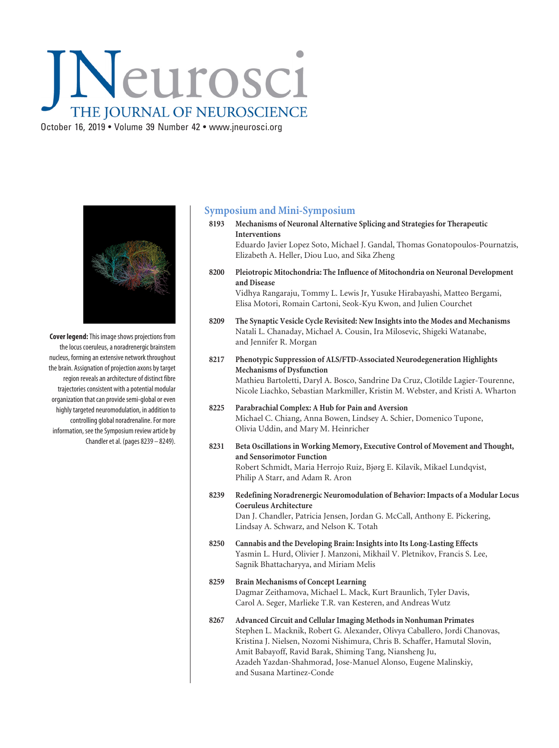## INeurosci THE JOURNAL OF NEUROSCIENCE October 16, 2019 • Volume 39 Number 42 • www.jneurosci.org



**Cover legend:**This image shows projections from the locus coeruleus, a noradrenergic brainstem nucleus, forming an extensive network throughout the brain. Assignation of projection axons by target region reveals an architecture of distinct fibre trajectories consistent with a potential modular organization that can provide semi-global or even highly targeted neuromodulation, in addition to controlling global noradrenaline. For more information, see the Symposium review article by Chandler et al. (pages 8239 – 8249).

## **Symposium and Mini-Symposium**

**8193 Mechanisms of Neuronal Alternative Splicing and Strategies for Therapeutic Interventions**

Eduardo Javier Lopez Soto, Michael J. Gandal, Thomas Gonatopoulos-Pournatzis, Elizabeth A. Heller, Diou Luo, and Sika Zheng

**8200 Pleiotropic Mitochondria: The Influence of Mitochondria on Neuronal Development and Disease**

Vidhya Rangaraju, Tommy L. Lewis Jr, Yusuke Hirabayashi, Matteo Bergami, Elisa Motori, Romain Cartoni, Seok-Kyu Kwon, and Julien Courchet

- **8209 The Synaptic Vesicle Cycle Revisited: New Insights into the Modes and Mechanisms** Natali L. Chanaday, Michael A. Cousin, Ira Milosevic, Shigeki Watanabe, and Jennifer R. Morgan
- **8217 Phenotypic Suppression of ALS/FTD-Associated Neurodegeneration Highlights Mechanisms of Dysfunction** Mathieu Bartoletti, Daryl A. Bosco, Sandrine Da Cruz, Clotilde Lagier-Tourenne, Nicole Liachko, Sebastian Markmiller, Kristin M. Webster, and Kristi A. Wharton
- **8225 Parabrachial Complex: A Hub for Pain and Aversion** Michael C. Chiang, Anna Bowen, Lindsey A. Schier, Domenico Tupone, Olivia Uddin, and Mary M. Heinricher
- **8231 Beta Oscillations in Working Memory, Executive Control of Movement and Thought, and Sensorimotor Function** Robert Schmidt, Maria Herrojo Ruiz, Bjørg E. Kilavik, Mikael Lundqvist, Philip A Starr, and Adam R. Aron
- **8239 Redefining Noradrenergic Neuromodulation of Behavior: Impacts of a Modular Locus Coeruleus Architecture** Dan J. Chandler, Patricia Jensen, Jordan G. McCall, Anthony E. Pickering, Lindsay A. Schwarz, and Nelson K. Totah
- **8250 Cannabis and the Developing Brain: Insights into Its Long-Lasting Effects** Yasmin L. Hurd, Olivier J. Manzoni, Mikhail V. Pletnikov, Francis S. Lee, Sagnik Bhattacharyya, and Miriam Melis
- **8259 Brain Mechanisms of Concept Learning** Dagmar Zeithamova, Michael L. Mack, Kurt Braunlich, Tyler Davis, Carol A. Seger, Marlieke T.R. van Kesteren, and Andreas Wutz
- **8267 Advanced Circuit and Cellular Imaging Methods in Nonhuman Primates** Stephen L. Macknik, Robert G. Alexander, Olivya Caballero, Jordi Chanovas, Kristina J. Nielsen, Nozomi Nishimura, Chris B. Schaffer, Hamutal Slovin, Amit Babayoff, Ravid Barak, Shiming Tang, Niansheng Ju, Azadeh Yazdan-Shahmorad, Jose-Manuel Alonso, Eugene Malinskiy, and Susana Martinez-Conde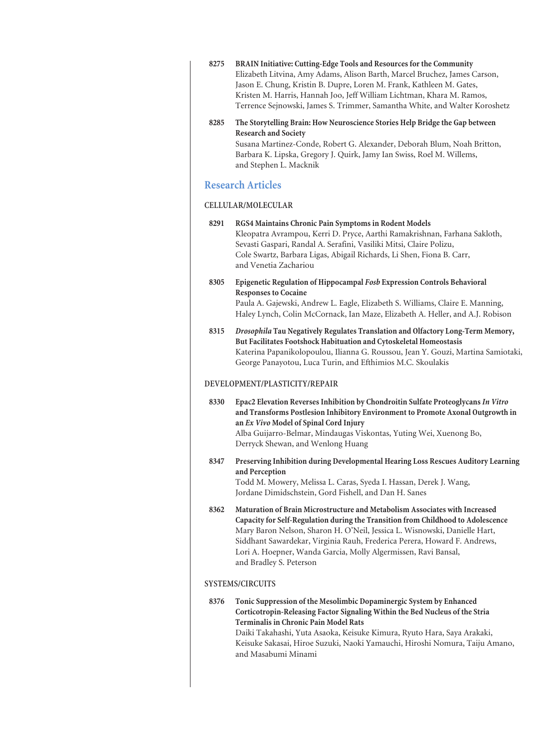| 8275                          | BRAIN Initiative: Cutting-Edge Tools and Resources for the Community<br>Elizabeth Litvina, Amy Adams, Alison Barth, Marcel Bruchez, James Carson,<br>Jason E. Chung, Kristin B. Dupre, Loren M. Frank, Kathleen M. Gates,<br>Kristen M. Harris, Hannah Joo, Jeff William Lichtman, Khara M. Ramos,<br>Terrence Sejnowski, James S. Trimmer, Samantha White, and Walter Koroshetz                                      |
|-------------------------------|-----------------------------------------------------------------------------------------------------------------------------------------------------------------------------------------------------------------------------------------------------------------------------------------------------------------------------------------------------------------------------------------------------------------------|
| 8285                          | The Storytelling Brain: How Neuroscience Stories Help Bridge the Gap between<br><b>Research and Society</b><br>Susana Martinez-Conde, Robert G. Alexander, Deborah Blum, Noah Britton,<br>Barbara K. Lipska, Gregory J. Quirk, Jamy Ian Swiss, Roel M. Willems,<br>and Stephen L. Macknik                                                                                                                             |
| <b>Research Articles</b>      |                                                                                                                                                                                                                                                                                                                                                                                                                       |
| <b>CELLULAR/MOLECULAR</b>     |                                                                                                                                                                                                                                                                                                                                                                                                                       |
| 8291                          | RGS4 Maintains Chronic Pain Symptoms in Rodent Models<br>Kleopatra Avrampou, Kerri D. Pryce, Aarthi Ramakrishnan, Farhana Sakloth,<br>Sevasti Gaspari, Randal A. Serafini, Vasiliki Mitsi, Claire Polizu,<br>Cole Swartz, Barbara Ligas, Abigail Richards, Li Shen, Fiona B. Carr,<br>and Venetia Zachariou                                                                                                           |
| 8305                          | Epigenetic Regulation of Hippocampal Fosb Expression Controls Behavioral<br><b>Responses to Cocaine</b><br>Paula A. Gajewski, Andrew L. Eagle, Elizabeth S. Williams, Claire E. Manning,<br>Haley Lynch, Colin McCornack, Ian Maze, Elizabeth A. Heller, and A.J. Robison                                                                                                                                             |
| 8315                          | Drosophila Tau Negatively Regulates Translation and Olfactory Long-Term Memory,<br>But Facilitates Footshock Habituation and Cytoskeletal Homeostasis<br>Katerina Papanikolopoulou, Ilianna G. Roussou, Jean Y. Gouzi, Martina Samiotaki,<br>George Panayotou, Luca Turin, and Efthimios M.C. Skoulakis                                                                                                               |
| DEVELOPMENT/PLASTICITY/REPAIR |                                                                                                                                                                                                                                                                                                                                                                                                                       |
| 8330                          | Epac2 Elevation Reverses Inhibition by Chondroitin Sulfate Proteoglycans In Vitro<br>and Transforms Postlesion Inhibitory Environment to Promote Axonal Outgrowth in<br>an Ex Vivo Model of Spinal Cord Injury<br>Alba Guijarro-Belmar, Mindaugas Viskontas, Yuting Wei, Xuenong Bo,<br>Derryck Shewan, and Wenlong Huang                                                                                             |
| 8347                          | Preserving Inhibition during Developmental Hearing Loss Rescues Auditory Learning<br>and Perception<br>Todd M. Mowery, Melissa L. Caras, Syeda I. Hassan, Derek J. Wang,<br>Jordane Dimidschstein, Gord Fishell, and Dan H. Sanes                                                                                                                                                                                     |
| 8362                          | Maturation of Brain Microstructure and Metabolism Associates with Increased<br>Capacity for Self-Regulation during the Transition from Childhood to Adolescence<br>Mary Baron Nelson, Sharon H. O'Neil, Jessica L. Wisnowski, Danielle Hart,<br>Siddhant Sawardekar, Virginia Rauh, Frederica Perera, Howard F. Andrews,<br>Lori A. Hoepner, Wanda Garcia, Molly Algermissen, Ravi Bansal,<br>and Bradley S. Peterson |
| <b>SYSTEMS/CIRCUITS</b>       |                                                                                                                                                                                                                                                                                                                                                                                                                       |
| 8376                          | Tonic Suppression of the Mesolimbic Dopaminergic System by Enhanced<br>Corticotropin-Releasing Factor Signaling Within the Bed Nucleus of the Stria<br><b>Terminalis in Chronic Pain Model Rats</b><br>Daiki Takahashi, Yuta Asaoka, Keisuke Kimura, Ryuto Hara, Saya Arakaki,<br>Keisuke Sakasai, Hiroe Suzuki, Naoki Yamauchi, Hiroshi Nomura, Taiju Amano,<br>and Masabumi Minami                                  |